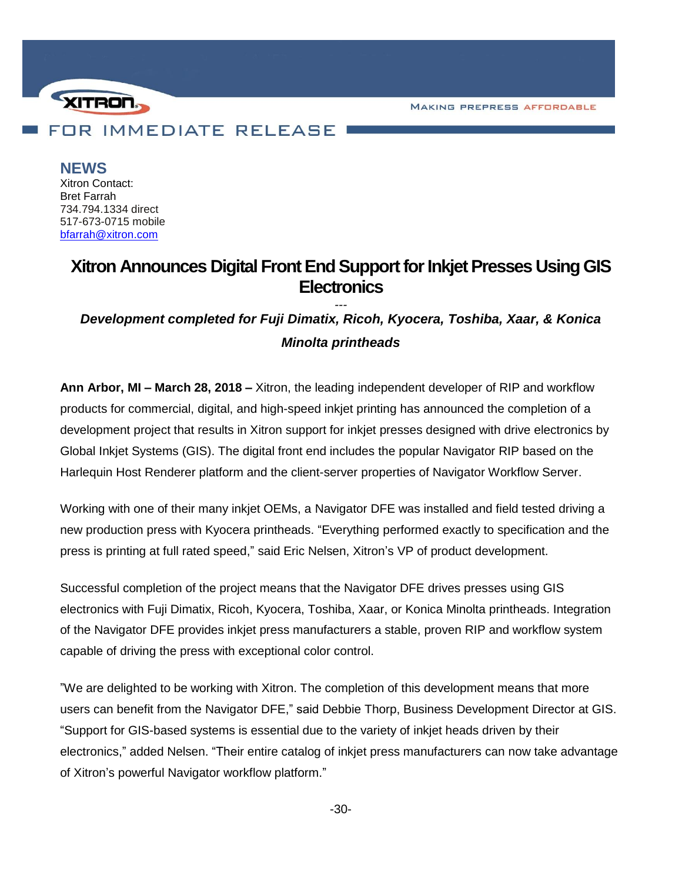**MAKING PREPRESS AFFORDABLE** 



**NEWS** Xitron Contact: Bret Farrah 734.794.1334 direct 517-673-0715 mobile [bfarrah@xitron.com](mailto:bfarrah@xitron.com)

## **Xitron Announces Digital Front End Support for Inkjet Presses UsingGIS Electronics**

*--- Development completed for Fuji Dimatix, Ricoh, Kyocera, Toshiba, Xaar, & Konica Minolta printheads*

**Ann Arbor, MI – March 28, 2018 –** Xitron, the leading independent developer of RIP and workflow products for commercial, digital, and high-speed inkjet printing has announced the completion of a development project that results in Xitron support for inkjet presses designed with drive electronics by Global Inkjet Systems (GIS). The digital front end includes the popular Navigator RIP based on the Harlequin Host Renderer platform and the client-server properties of Navigator Workflow Server.

Working with one of their many inkjet OEMs, a Navigator DFE was installed and field tested driving a new production press with Kyocera printheads. "Everything performed exactly to specification and the press is printing at full rated speed," said Eric Nelsen, Xitron's VP of product development.

Successful completion of the project means that the Navigator DFE drives presses using GIS electronics with Fuji Dimatix, Ricoh, Kyocera, Toshiba, Xaar, or Konica Minolta printheads. Integration of the Navigator DFE provides inkjet press manufacturers a stable, proven RIP and workflow system capable of driving the press with exceptional color control.

"We are delighted to be working with Xitron. The completion of this development means that more users can benefit from the Navigator DFE," said Debbie Thorp, Business Development Director at GIS. "Support for GIS-based systems is essential due to the variety of inkjet heads driven by their electronics," added Nelsen. "Their entire catalog of inkjet press manufacturers can now take advantage of Xitron's powerful Navigator workflow platform."